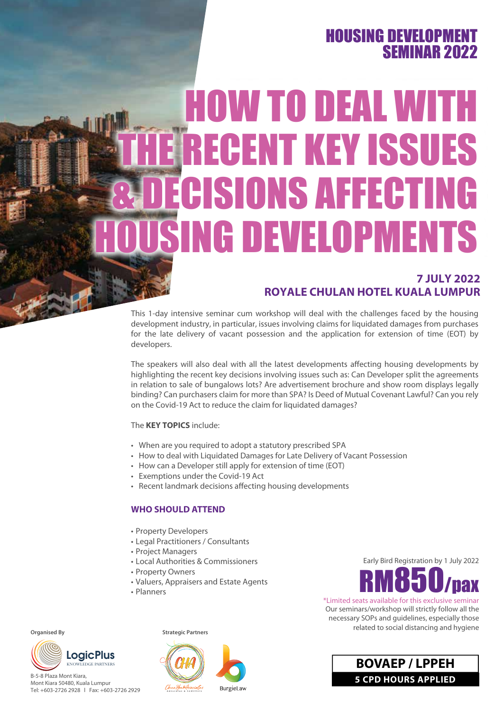# **HOUSING DEVELOPMEN** SEMINAR 2022

# HOW TO DEAL WITH RECENT KEY ISSUES **CISIONS AFFECTING NG DEVELOPMENTS**

# **7 JULY 2022 ROYALE CHULAN HOTEL KUALA LUMPUR**

This 1-day intensive seminar cum workshop will deal with the challenges faced by the housing development industry, in particular, issues involving claims for liquidated damages from purchases for the late delivery of vacant possession and the application for extension of time (EOT) by developers.

The speakers will also deal with all the latest developments affecting housing developments by highlighting the recent key decisions involving issues such as: Can Developer split the agreements in relation to sale of bungalows lots? Are advertisement brochure and show room displays legally binding? Can purchasers claim for more than SPA? Is Deed of Mutual Covenant Lawful? Can you rely on the Covid-19 Act to reduce the claim for liquidated damages?

#### The **KEY TOPICS** include:

- When are you required to adopt a statutory prescribed SPA
- How to deal with Liquidated Damages for Late Delivery of Vacant Possession
- How can a Developer still apply for extension of time (EOT)
- Exemptions under the Covid-19 Act
- Recent landmark decisions affecting housing developments

## **WHO SHOULD ATTEND**

- Property Developers
- Legal Practitioners / Consultants
- Project Managers
- Local Authorities & Commissioners
- Property Owners
- Valuers, Appraisers and Estate Agents
- Planners

**Organised By**



B-5-8 Plaza Mont Kiara, Mont Kiara 50480, Kuala Lumpur Tel: +603-2726 2928 l Fax: +603-2726 2929 **Strategic Partners**



Early Bird Registration by 1 July 2022



\*Limited seats available for this exclusive seminar Our seminars/workshop will strictly follow all the necessary SOPs and guidelines, especially those related to social distancing and hygiene

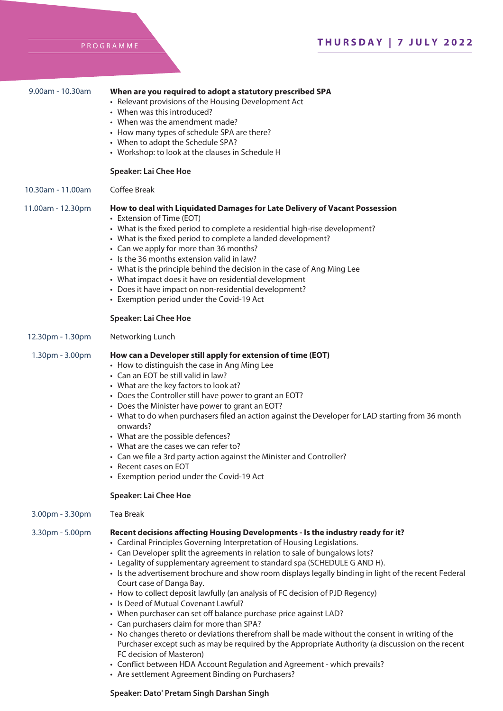|  |  |  | PROGRAMME |  |
|--|--|--|-----------|--|
|  |  |  |           |  |

| 9.00am - 10.30am  | When are you required to adopt a statutory prescribed SPA<br>• Relevant provisions of the Housing Development Act<br>• When was this introduced?<br>• When was the amendment made?<br>• How many types of schedule SPA are there?<br>• When to adopt the Schedule SPA?<br>• Workshop: to look at the clauses in Schedule H<br><b>Speaker: Lai Chee Hoe</b>                                                                                                                                                                                                                                                                                                                                                                                                                                                                                                                                                                                                                                                                                                                   |
|-------------------|------------------------------------------------------------------------------------------------------------------------------------------------------------------------------------------------------------------------------------------------------------------------------------------------------------------------------------------------------------------------------------------------------------------------------------------------------------------------------------------------------------------------------------------------------------------------------------------------------------------------------------------------------------------------------------------------------------------------------------------------------------------------------------------------------------------------------------------------------------------------------------------------------------------------------------------------------------------------------------------------------------------------------------------------------------------------------|
| 10.30am - 11.00am | Coffee Break                                                                                                                                                                                                                                                                                                                                                                                                                                                                                                                                                                                                                                                                                                                                                                                                                                                                                                                                                                                                                                                                 |
| 11.00am - 12.30pm | How to deal with Liquidated Damages for Late Delivery of Vacant Possession<br>• Extension of Time (EOT)<br>• What is the fixed period to complete a residential high-rise development?<br>• What is the fixed period to complete a landed development?<br>• Can we apply for more than 36 months?<br>• Is the 36 months extension valid in law?<br>• What is the principle behind the decision in the case of Ang Ming Lee<br>• What impact does it have on residential development<br>• Does it have impact on non-residential development?<br>• Exemption period under the Covid-19 Act                                                                                                                                                                                                                                                                                                                                                                                                                                                                                    |
|                   | <b>Speaker: Lai Chee Hoe</b>                                                                                                                                                                                                                                                                                                                                                                                                                                                                                                                                                                                                                                                                                                                                                                                                                                                                                                                                                                                                                                                 |
| 12.30pm - 1.30pm  | Networking Lunch                                                                                                                                                                                                                                                                                                                                                                                                                                                                                                                                                                                                                                                                                                                                                                                                                                                                                                                                                                                                                                                             |
| 1.30pm - 3.00pm   | How can a Developer still apply for extension of time (EOT)<br>• How to distinguish the case in Ang Ming Lee<br>• Can an EOT be still valid in law?<br>• What are the key factors to look at?<br>• Does the Controller still have power to grant an EOT?<br>• Does the Minister have power to grant an EOT?<br>• What to do when purchasers filed an action against the Developer for LAD starting from 36 month<br>onwards?<br>• What are the possible defences?<br>• What are the cases we can refer to?<br>• Can we file a 3rd party action against the Minister and Controller?<br>• Recent cases on EOT<br>• Exemption period under the Covid-19 Act<br><b>Speaker: Lai Chee Hoe</b>                                                                                                                                                                                                                                                                                                                                                                                    |
| 3.00pm - 3.30pm   | Tea Break                                                                                                                                                                                                                                                                                                                                                                                                                                                                                                                                                                                                                                                                                                                                                                                                                                                                                                                                                                                                                                                                    |
| 3.30pm - 5.00pm   | Recent decisions affecting Housing Developments - Is the industry ready for it?<br>• Cardinal Principles Governing Interpretation of Housing Legislations.<br>• Can Developer split the agreements in relation to sale of bungalows lots?<br>• Legality of supplementary agreement to standard spa (SCHEDULE G AND H).<br>• Is the advertisement brochure and show room displays legally binding in light of the recent Federal<br>Court case of Danga Bay.<br>• How to collect deposit lawfully (an analysis of FC decision of PJD Regency)<br>• Is Deed of Mutual Covenant Lawful?<br>• When purchaser can set off balance purchase price against LAD?<br>• Can purchasers claim for more than SPA?<br>• No changes thereto or deviations therefrom shall be made without the consent in writing of the<br>Purchaser except such as may be required by the Appropriate Authority (a discussion on the recent<br>FC decision of Masteron)<br>• Conflict between HDA Account Regulation and Agreement - which prevails?<br>• Are settlement Agreement Binding on Purchasers? |

## **Speaker: Dato' Pretam Singh Darshan Singh**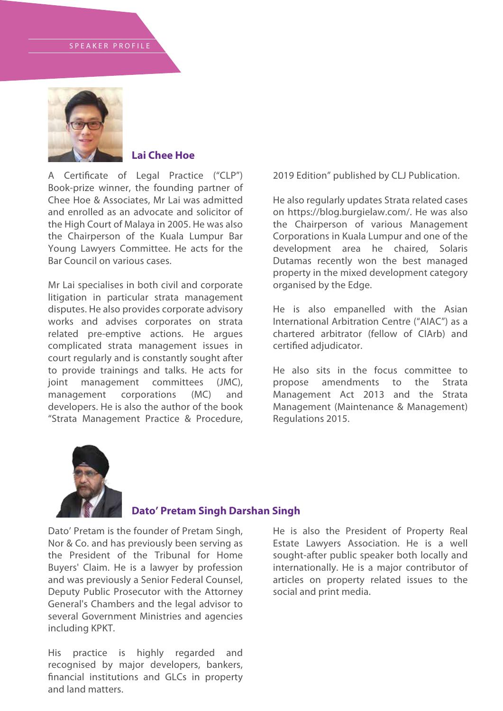

# **Lai Chee Hoe**

A Certificate of Legal Practice ("CLP") Book-prize winner, the founding partner of Chee Hoe & Associates, Mr Lai was admitted and enrolled as an advocate and solicitor of the High Court of Malaya in 2005. He was also the Chairperson of the Kuala Lumpur Bar Young Lawyers Committee. He acts for the Bar Council on various cases.

Mr Lai specialises in both civil and corporate litigation in particular strata management disputes. He also provides corporate advisory works and advises corporates on strata related pre-emptive actions. He argues complicated strata management issues in court regularly and is constantly sought after to provide trainings and talks. He acts for joint management committees (JMC), management corporations (MC) and developers. He is also the author of the book "Strata Management Practice & Procedure, 2019 Edition" published by CLJ Publication.

He also regularly updates Strata related cases on https://blog.burgielaw.com/. He was also the Chairperson of various Management Corporations in Kuala Lumpur and one of the development area he chaired, Solaris Dutamas recently won the best managed property in the mixed development category organised by the Edge.

He is also empanelled with the Asian International Arbitration Centre ("AIAC") as a chartered arbitrator (fellow of CIArb) and certified adjudicator.

He also sits in the focus committee to propose amendments to the Strata Management Act 2013 and the Strata Management (Maintenance & Management) Regulations 2015.



## **Dato' Pretam Singh Darshan Singh**

Dato' Pretam is the founder of Pretam Singh, Nor & Co. and has previously been serving as the President of the Tribunal for Home Buyers' Claim. He is a lawyer by profession and was previously a Senior Federal Counsel, Deputy Public Prosecutor with the Attorney General's Chambers and the legal advisor to several Government Ministries and agencies including KPKT.

His practice is highly regarded and recognised by major developers, bankers, financial institutions and GLCs in property and land matters.

He is also the President of Property Real Estate Lawyers Association. He is a well sought-after public speaker both locally and internationally. He is a major contributor of articles on property related issues to the social and print media.